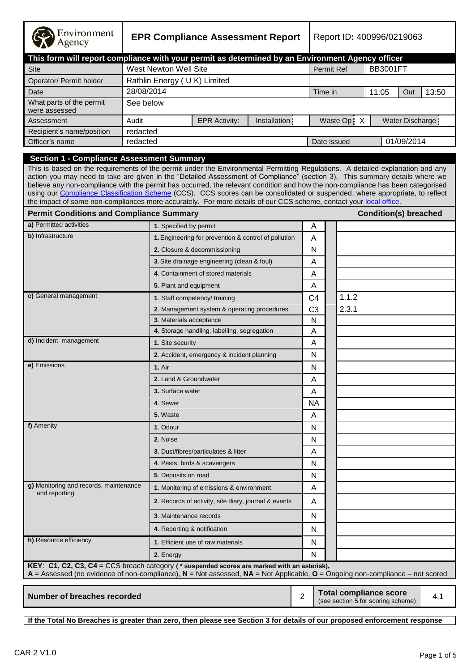| Environment<br>Agency                                                                                                                                                                                                                                                                                                                                                                                                                                                                                                                                                                                                                                                                                      | <b>EPR Compliance Assessment Report</b> |                        |                                                      |               | Report ID: 400996/0219063 |                   |             |                                                                     |                  |       |
|------------------------------------------------------------------------------------------------------------------------------------------------------------------------------------------------------------------------------------------------------------------------------------------------------------------------------------------------------------------------------------------------------------------------------------------------------------------------------------------------------------------------------------------------------------------------------------------------------------------------------------------------------------------------------------------------------------|-----------------------------------------|------------------------|------------------------------------------------------|---------------|---------------------------|-------------------|-------------|---------------------------------------------------------------------|------------------|-------|
| This form will report compliance with your permit as determined by an Environment Agency officer                                                                                                                                                                                                                                                                                                                                                                                                                                                                                                                                                                                                           |                                         |                        |                                                      |               |                           |                   |             |                                                                     |                  |       |
| <b>Site</b>                                                                                                                                                                                                                                                                                                                                                                                                                                                                                                                                                                                                                                                                                                |                                         |                        | West Newton Well Site                                |               |                           | <b>Permit Ref</b> |             | <b>BB3001FT</b>                                                     |                  |       |
| Operator/ Permit holder                                                                                                                                                                                                                                                                                                                                                                                                                                                                                                                                                                                                                                                                                    |                                         |                        | Rathlin Energy (UK) Limited                          |               |                           |                   |             |                                                                     |                  |       |
| Date                                                                                                                                                                                                                                                                                                                                                                                                                                                                                                                                                                                                                                                                                                       | 28/08/2014                              |                        |                                                      |               |                           | Time in           |             | 11:05                                                               | Out              | 13:50 |
| What parts of the permit<br>were assessed                                                                                                                                                                                                                                                                                                                                                                                                                                                                                                                                                                                                                                                                  | See below                               |                        |                                                      |               |                           |                   |             |                                                                     |                  |       |
| Assessment                                                                                                                                                                                                                                                                                                                                                                                                                                                                                                                                                                                                                                                                                                 | Audit                                   |                        | <b>EPR Activity:</b>                                 | Installation: |                           |                   | Waste Op: X |                                                                     | Water Discharge: |       |
| Recipient's name/position                                                                                                                                                                                                                                                                                                                                                                                                                                                                                                                                                                                                                                                                                  | redacted                                |                        |                                                      |               |                           |                   |             |                                                                     |                  |       |
| Officer's name                                                                                                                                                                                                                                                                                                                                                                                                                                                                                                                                                                                                                                                                                             | redacted                                |                        |                                                      |               |                           | Date issued       |             |                                                                     | 01/09/2014       |       |
| <b>Section 1 - Compliance Assessment Summary</b><br>This is based on the requirements of the permit under the Environmental Permitting Regulations. A detailed explanation and any<br>action you may need to take are given in the "Detailed Assessment of Compliance" (section 3). This summary details where we<br>believe any non-compliance with the permit has occurred, the relevant condition and how the non-compliance has been categorised<br>using our Compliance Classification Scheme (CCS). CCS scores can be consolidated or suspended, where appropriate, to reflect<br>the impact of some non-compliances more accurately. For more details of our CCS scheme, contact your local office. |                                         |                        |                                                      |               |                           |                   |             |                                                                     |                  |       |
| <b>Permit Conditions and Compliance Summary</b>                                                                                                                                                                                                                                                                                                                                                                                                                                                                                                                                                                                                                                                            |                                         |                        |                                                      |               |                           |                   |             | <b>Condition(s) breached</b>                                        |                  |       |
| a) Permitted activities                                                                                                                                                                                                                                                                                                                                                                                                                                                                                                                                                                                                                                                                                    |                                         | 1. Specified by permit |                                                      |               | A                         |                   |             |                                                                     |                  |       |
| b) Infrastructure                                                                                                                                                                                                                                                                                                                                                                                                                                                                                                                                                                                                                                                                                          |                                         |                        | 1. Engineering for prevention & control of pollution |               | A                         |                   |             |                                                                     |                  |       |
|                                                                                                                                                                                                                                                                                                                                                                                                                                                                                                                                                                                                                                                                                                            |                                         |                        | 2. Closure & decommissioning                         |               | N                         |                   |             |                                                                     |                  |       |
|                                                                                                                                                                                                                                                                                                                                                                                                                                                                                                                                                                                                                                                                                                            |                                         |                        | 3. Site drainage engineering (clean & foul)          |               | A                         |                   |             |                                                                     |                  |       |
|                                                                                                                                                                                                                                                                                                                                                                                                                                                                                                                                                                                                                                                                                                            |                                         |                        | 4. Containment of stored materials                   |               | A                         |                   |             |                                                                     |                  |       |
|                                                                                                                                                                                                                                                                                                                                                                                                                                                                                                                                                                                                                                                                                                            |                                         |                        | 5. Plant and equipment                               |               | A                         |                   |             |                                                                     |                  |       |
| c) General management                                                                                                                                                                                                                                                                                                                                                                                                                                                                                                                                                                                                                                                                                      |                                         |                        | 1. Staff competency/ training                        |               | C4                        |                   | 1.1.2       |                                                                     |                  |       |
|                                                                                                                                                                                                                                                                                                                                                                                                                                                                                                                                                                                                                                                                                                            |                                         |                        | 2. Management system & operating procedures          |               | C <sub>3</sub>            |                   | 2.3.1       |                                                                     |                  |       |
|                                                                                                                                                                                                                                                                                                                                                                                                                                                                                                                                                                                                                                                                                                            |                                         |                        | 3. Materials acceptance                              |               | N                         |                   |             |                                                                     |                  |       |
|                                                                                                                                                                                                                                                                                                                                                                                                                                                                                                                                                                                                                                                                                                            |                                         |                        | 4. Storage handling, labelling, segregation          |               | A                         |                   |             |                                                                     |                  |       |
| d) Incident management                                                                                                                                                                                                                                                                                                                                                                                                                                                                                                                                                                                                                                                                                     |                                         | 1. Site security       |                                                      |               | A                         |                   |             |                                                                     |                  |       |
|                                                                                                                                                                                                                                                                                                                                                                                                                                                                                                                                                                                                                                                                                                            |                                         |                        | 2. Accident, emergency & incident planning           |               | N                         |                   |             |                                                                     |                  |       |
| e) Emissions                                                                                                                                                                                                                                                                                                                                                                                                                                                                                                                                                                                                                                                                                               |                                         | 1. Air                 |                                                      |               | N                         |                   |             |                                                                     |                  |       |
|                                                                                                                                                                                                                                                                                                                                                                                                                                                                                                                                                                                                                                                                                                            |                                         |                        | 2. Land & Groundwater                                |               | Α                         |                   |             |                                                                     |                  |       |
|                                                                                                                                                                                                                                                                                                                                                                                                                                                                                                                                                                                                                                                                                                            |                                         | 3. Surface water       |                                                      |               | A                         |                   |             |                                                                     |                  |       |
|                                                                                                                                                                                                                                                                                                                                                                                                                                                                                                                                                                                                                                                                                                            |                                         | 4. Sewer               |                                                      |               | NA.                       |                   |             |                                                                     |                  |       |
|                                                                                                                                                                                                                                                                                                                                                                                                                                                                                                                                                                                                                                                                                                            |                                         | 5. Waste               |                                                      |               | A                         |                   |             |                                                                     |                  |       |
| f) Amenity                                                                                                                                                                                                                                                                                                                                                                                                                                                                                                                                                                                                                                                                                                 |                                         | 1. Odour               |                                                      |               | N                         |                   |             |                                                                     |                  |       |
|                                                                                                                                                                                                                                                                                                                                                                                                                                                                                                                                                                                                                                                                                                            |                                         | 2. Noise               |                                                      |               | N                         |                   |             |                                                                     |                  |       |
|                                                                                                                                                                                                                                                                                                                                                                                                                                                                                                                                                                                                                                                                                                            |                                         |                        | 3. Dust/fibres/particulates & litter                 |               | A                         |                   |             |                                                                     |                  |       |
|                                                                                                                                                                                                                                                                                                                                                                                                                                                                                                                                                                                                                                                                                                            |                                         |                        | 4. Pests, birds & scavengers                         |               | N                         |                   |             |                                                                     |                  |       |
|                                                                                                                                                                                                                                                                                                                                                                                                                                                                                                                                                                                                                                                                                                            |                                         | 5. Deposits on road    |                                                      |               | N                         |                   |             |                                                                     |                  |       |
| g) Monitoring and records, maintenance<br>and reporting                                                                                                                                                                                                                                                                                                                                                                                                                                                                                                                                                                                                                                                    |                                         |                        | 1. Monitoring of emissions & environment             |               | A                         |                   |             |                                                                     |                  |       |
|                                                                                                                                                                                                                                                                                                                                                                                                                                                                                                                                                                                                                                                                                                            |                                         |                        | 2. Records of activity, site diary, journal & events |               | A                         |                   |             |                                                                     |                  |       |
|                                                                                                                                                                                                                                                                                                                                                                                                                                                                                                                                                                                                                                                                                                            |                                         |                        | 3. Maintenance records                               |               | N                         |                   |             |                                                                     |                  |       |
|                                                                                                                                                                                                                                                                                                                                                                                                                                                                                                                                                                                                                                                                                                            |                                         |                        | 4. Reporting & notification                          |               | N                         |                   |             |                                                                     |                  |       |
| h) Resource efficiency                                                                                                                                                                                                                                                                                                                                                                                                                                                                                                                                                                                                                                                                                     |                                         |                        | 1. Efficient use of raw materials                    |               | N                         |                   |             |                                                                     |                  |       |
|                                                                                                                                                                                                                                                                                                                                                                                                                                                                                                                                                                                                                                                                                                            |                                         | 2. Energy              |                                                      |               | $\mathsf{N}$              |                   |             |                                                                     |                  |       |
| KEY: C1, C2, C3, C4 = CCS breach category ( $*$ suspended scores are marked with an asterisk),<br>$A =$ Assessed (no evidence of non-compliance), $N =$ Not assessed, $NA =$ Not Applicable, $O =$ Ongoing non-compliance – not scored                                                                                                                                                                                                                                                                                                                                                                                                                                                                     |                                         |                        |                                                      |               |                           |                   |             |                                                                     |                  |       |
| <b>Number of breaches recorded</b>                                                                                                                                                                                                                                                                                                                                                                                                                                                                                                                                                                                                                                                                         |                                         |                        |                                                      |               | $\overline{2}$            |                   |             | <b>Total compliance score</b><br>(see section 5 for scoring scheme) |                  | 4.1   |

**If the Total No Breaches is greater than zero, then please see Section 3 for details of our proposed enforcement response**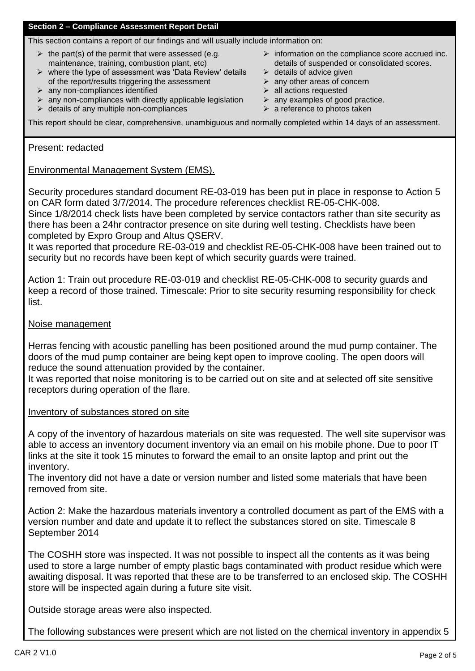# **Section 2 – Compliance Assessment Report Detail**

This section contains a report of our findings and will usually include information on:

- $\triangleright$  the part(s) of the permit that were assessed (e.g. maintenance, training, combustion plant, etc)
- $\triangleright$  where the type of assessment was 'Data Review' details of the report/results triggering the assessment
- $\triangleright$  any non-compliances identified
- $\triangleright$  any non-compliances with directly applicable legislation
- $\triangleright$  details of any multiple non-compliances
- $\triangleright$  information on the compliance score accrued inc. details of suspended or consolidated scores.
- $\triangleright$  details of advice given
- $\triangleright$  any other areas of concern
- $\triangleright$  all actions requested
- $\triangleright$  any examples of good practice.
- $\triangleright$  a reference to photos taken

This report should be clear, comprehensive, unambiguous and normally completed within 14 days of an assessment.

Present: redacted

# Environmental Management System (EMS).

Security procedures standard document RE-03-019 has been put in place in response to Action 5 on CAR form dated 3/7/2014. The procedure references checklist RE-05-CHK-008.

Since 1/8/2014 check lists have been completed by service contactors rather than site security as there has been a 24hr contractor presence on site during well testing. Checklists have been completed by Expro Group and Altus QSERV.

It was reported that procedure RE-03-019 and checklist RE-05-CHK-008 have been trained out to security but no records have been kept of which security guards were trained.

Action 1: Train out procedure RE-03-019 and checklist RE-05-CHK-008 to security guards and keep a record of those trained. Timescale: Prior to site security resuming responsibility for check list.

## Noise management

Herras fencing with acoustic panelling has been positioned around the mud pump container. The doors of the mud pump container are being kept open to improve cooling. The open doors will reduce the sound attenuation provided by the container.

It was reported that noise monitoring is to be carried out on site and at selected off site sensitive receptors during operation of the flare.

Inventory of substances stored on site

A copy of the inventory of hazardous materials on site was requested. The well site supervisor was able to access an inventory document inventory via an email on his mobile phone. Due to poor IT links at the site it took 15 minutes to forward the email to an onsite laptop and print out the inventory.

The inventory did not have a date or version number and listed some materials that have been removed from site.

Action 2: Make the hazardous materials inventory a controlled document as part of the EMS with a version number and date and update it to reflect the substances stored on site. Timescale 8 September 2014

The COSHH store was inspected. It was not possible to inspect all the contents as it was being used to store a large number of empty plastic bags contaminated with product residue which were awaiting disposal. It was reported that these are to be transferred to an enclosed skip. The COSHH store will be inspected again during a future site visit.

Outside storage areas were also inspected.

The following substances were present which are not listed on the chemical inventory in appendix 5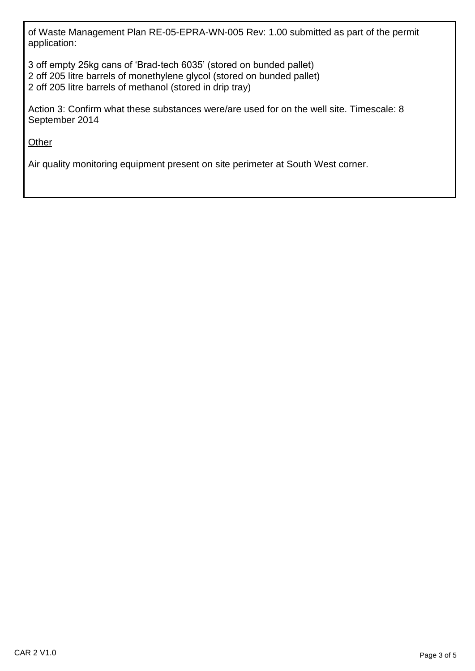of Waste Management Plan RE-05-EPRA-WN-005 Rev: 1.00 submitted as part of the permit application:

3 off empty 25kg cans of 'Brad-tech 6035' (stored on bunded pallet) 2 off 205 litre barrels of monethylene glycol (stored on bunded pallet) 2 off 205 litre barrels of methanol (stored in drip tray)

Action 3: Confirm what these substances were/are used for on the well site. Timescale: 8 September 2014

**Other** 

Air quality monitoring equipment present on site perimeter at South West corner.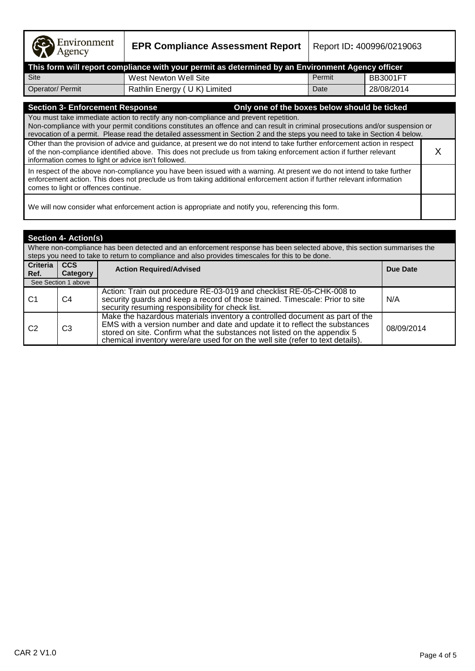| Environment |  |
|-------------|--|
|-------------|--|

**EPR Compliance Assessment Report** | Report ID: 400996/0219063

| This form will report compliance with your permit as determined by an Environment Agency officer [ |                             |        |            |  |  |  |
|----------------------------------------------------------------------------------------------------|-----------------------------|--------|------------|--|--|--|
| Site                                                                                               | West Newton Well Site       | Permit | BB3001FT   |  |  |  |
| Operator/ Permit                                                                                   | Rathlin Energy (UK) Limited | Date   | 28/08/2014 |  |  |  |

# **Section 3- Enforcement Response Only one of the boxes below should be ticked**

You must take immediate action to rectify any non-compliance and prevent repetition. Non-compliance with your permit conditions constitutes an offence and can result in criminal prosecutions and/or suspension or revocation of a permit. Please read the detailed assessment in Section 2 and the steps you need to take in Section 4 below. Other than the provision of advice and guidance, at present we do not intend to take further enforcement action in respect of the non-compliance identified above. This does not preclude us from taking enforcement action if further relevant information comes to light or advice isn't followed. X In respect of the above non-compliance you have been issued with a warning. At present we do not intend to take further enforcement action. This does not preclude us from taking additional enforcement action if further relevant information

comes to light or offences continue.

We will now consider what enforcement action is appropriate and notify you, referencing this form.

| <b>Section 4- Action(s)</b>                                                                                                                                                                                                 |                        |                                                                                                                                                                                                                                                                                                                         |            |  |  |
|-----------------------------------------------------------------------------------------------------------------------------------------------------------------------------------------------------------------------------|------------------------|-------------------------------------------------------------------------------------------------------------------------------------------------------------------------------------------------------------------------------------------------------------------------------------------------------------------------|------------|--|--|
| Where non-compliance has been detected and an enforcement response has been selected above, this section summarises the<br>steps you need to take to return to compliance and also provides timescales for this to be done. |                        |                                                                                                                                                                                                                                                                                                                         |            |  |  |
| Criteria<br>Ref.                                                                                                                                                                                                            | <b>CCS</b><br>Category | <b>Action Required/Advised</b>                                                                                                                                                                                                                                                                                          | Due Date   |  |  |
|                                                                                                                                                                                                                             | See Section 1 above    |                                                                                                                                                                                                                                                                                                                         |            |  |  |
| C1                                                                                                                                                                                                                          | C4                     | Action: Train out procedure RE-03-019 and checklist RE-05-CHK-008 to<br>security guards and keep a record of those trained. Timescale: Prior to site<br>security resuming responsibility for check list.                                                                                                                | N/A        |  |  |
| C <sub>2</sub>                                                                                                                                                                                                              | C <sub>3</sub>         | Make the hazardous materials inventory a controlled document as part of the<br>EMS with a version number and date and update it to reflect the substances<br>stored on site. Confirm what the substances not listed on the appendix 5<br>chemical inventory were/are used for on the well site (refer to text details). | 08/09/2014 |  |  |